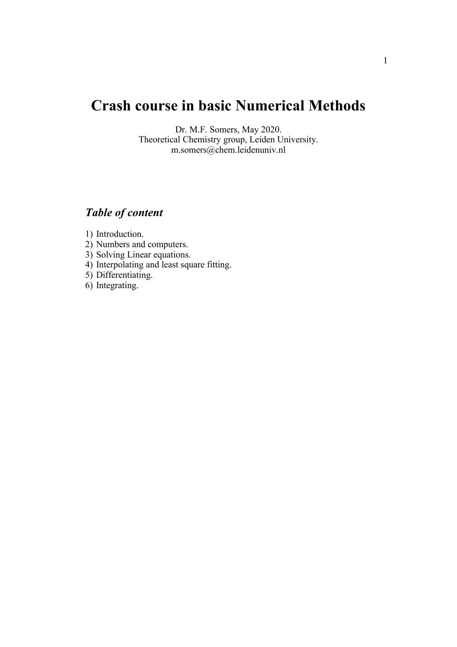# **Crash course in basic Numerical Methods**

Dr. M.F. Somers, May 2020. Theoretical Chemistry group, Leiden University. m.somers@chem.leidenuniv.nl

# *Table of content*

- 1) Introduction.
- 2) Numbers and computers.
- 3) Solving Linear equations.
- 4) Interpolating and least square fitting.
- 5) Differentiating.
- 6) Integrating.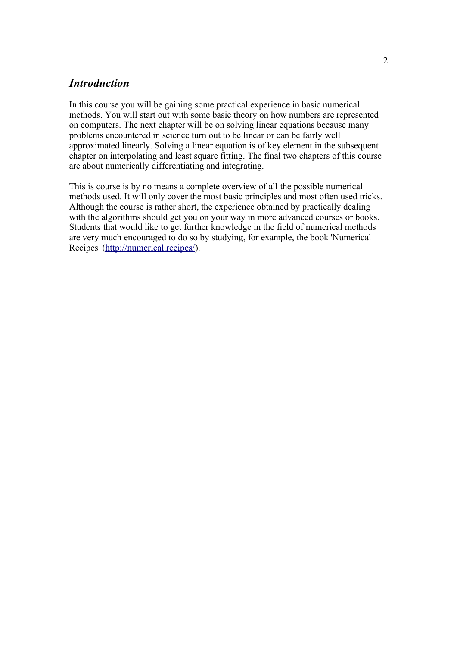### *Introduction*

In this course you will be gaining some practical experience in basic numerical methods. You will start out with some basic theory on how numbers are represented on computers. The next chapter will be on solving linear equations because many problems encountered in science turn out to be linear or can be fairly well approximated linearly. Solving a linear equation is of key element in the subsequent chapter on interpolating and least square fitting. The final two chapters of this course are about numerically differentiating and integrating.

This is course is by no means a complete overview of all the possible numerical methods used. It will only cover the most basic principles and most often used tricks. Although the course is rather short, the experience obtained by practically dealing with the algorithms should get you on your way in more advanced courses or books. Students that would like to get further knowledge in the field of numerical methods are very much encouraged to do so by studying, for example, the book 'Numerical Recipes' [\(http://numerical.recipes/\)](http://numerical.recipes/).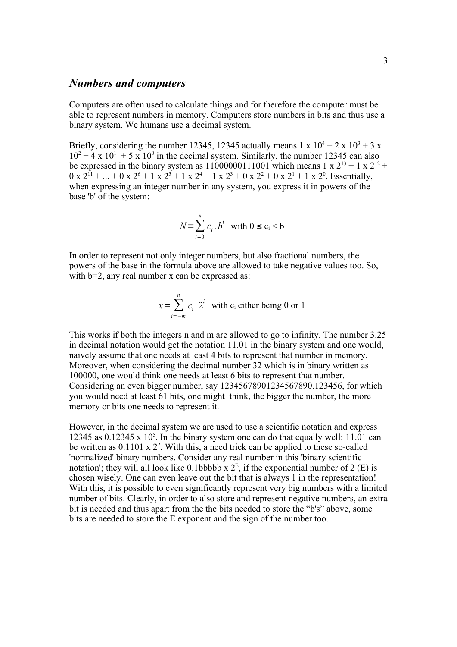### *Numbers and computers*

Computers are often used to calculate things and for therefore the computer must be able to represent numbers in memory. Computers store numbers in bits and thus use a binary system. We humans use a decimal system.

Briefly, considering the number 12345, 12345 actually means  $1 \times 10^4 + 2 \times 10^3 + 3 \times 10^4$  $10^2 + 4 \times 10^1 + 5 \times 10^0$  in the decimal system. Similarly, the number 12345 can also be expressed in the binary system as  $11000000111001$  which means  $1 \times 2^{13} + 1 \times 2^{12} +$  $0 \times 2^{11} + ... + 0 \times 2^{6} + 1 \times 2^{5} + 1 \times 2^{4} + 1 \times 2^{3} + 0 \times 2^{2} + 0 \times 2^{1} + 1 \times 2^{0}$ . Essentially, when expressing an integer number in any system, you express it in powers of the base 'b' of the system:

$$
N = \sum_{i=0}^{n} c_i \cdot b^i \quad \text{with } 0 \le c_i < b
$$

In order to represent not only integer numbers, but also fractional numbers, the powers of the base in the formula above are allowed to take negative values too. So, with  $b=2$ , any real number x can be expressed as:

$$
x = \sum_{i=-m}^{n} c_i \cdot 2^i
$$
 with c<sub>i</sub> either being 0 or 1

This works if both the integers n and m are allowed to go to infinity. The number 3.25 in decimal notation would get the notation 11.01 in the binary system and one would, naively assume that one needs at least 4 bits to represent that number in memory. Moreover, when considering the decimal number 32 which is in binary written as 100000, one would think one needs at least 6 bits to represent that number. Considering an even bigger number, say 12345678901234567890.123456, for which you would need at least 61 bits, one might think, the bigger the number, the more memory or bits one needs to represent it.

However, in the decimal system we are used to use a scientific notation and express 12345 as  $0.12345 \times 10^5$ . In the binary system one can do that equally well: 11.01 can be written as  $0.1101 \times 2^2$ . With this, a need trick can be applied to these so-called 'normalized' binary numbers. Consider any real number in this 'binary scientific notation'; they will all look like 0.1bbbbb  $x 2^E$ , if the exponential number of 2 (E) is chosen wisely. One can even leave out the bit that is always 1 in the representation! With this, it is possible to even significantly represent very big numbers with a limited number of bits. Clearly, in order to also store and represent negative numbers, an extra bit is needed and thus apart from the the bits needed to store the "b's" above, some bits are needed to store the E exponent and the sign of the number too.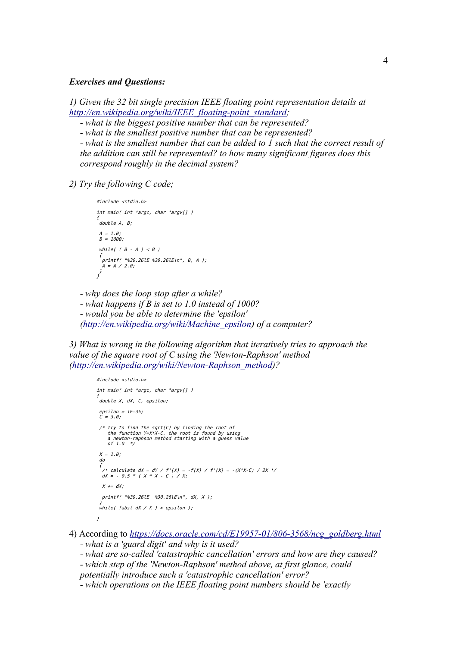#### *Exercises and Questions:*

*1) Given the 32 bit single precision IEEE floating point representation details at [http://en.wikipedia.org/wiki/IEEE\\_floating-point\\_standard;](http://en.wikipedia.org/wiki/IEEE_floating-point_standard)*

*- what is the biggest positive number that can be represented?*

*- what is the smallest positive number that can be represented?*

*- what is the smallest number that can be added to 1 such that the correct result of the addition can still be represented? to how many significant figures does this correspond roughly in the decimal system?*

*2) Try the following C code;*

```
#include <stdio.h>
int main( int *argc, char *argv[] )
{
 double A, B;
A = 1.0B = 1000;
while( (B - A) < B)
 {
 printf( "%30.26lE %30.26lE\n", B, A );
 A = A / 2.0;
 }
}
```
*- why does the loop stop after a while?*

*- what happens if B is set to 1.0 instead of 1000?*

*- would you be able to determine the 'epsilon' [\(http://en.wikipedia.org/wiki/Machine\\_epsilon\)](http://en.wikipedia.org/wiki/Machine_epsilon) of a computer?*

*3) What is wrong in the following algorithm that iteratively tries to approach the value of the square root of C using the 'Newton-Raphson' method [\(http://en.wikipedia.org/wiki/Newton-Raphson\\_method\)](http://en.wikipedia.org/wiki/Newton-Raphson_method)?* 

```
#include <stdio.h>
int main( int *argc, char *argv[] )
{
 double X, dX, C, epsilon;
 epsilon = 1E-35;
 C = 3.0;
 /* try to find the sqrt(C) by finding the root of
the function Y=X*X-C. the root is found by using<br>a newton-raphson method starting with a guess value<br>of 1.0 */
 X = 1.0; do
 {
 /* calculate dX = dY / f'(X) = -f(X) / f'(X) = -(X*X-C) / 2X */
 dX = - 0.5 * ( X * X - C ) / X; 
  X + = dX printf( "%30.26lE %30.26lE\n", dX, X );
 }
 while( fabs( dX / X ) > epsilon );
}
```
4) According to *[https://docs.oracle.com/cd/E19957-01/806-3568/ncg\\_goldberg.html](https://docs.oracle.com/cd/E19957-01/806-3568/ncg_goldberg.html)*

*- what is a 'guard digit' and why is it used?*

*- what are so-called 'catastrophic cancellation' errors and how are they caused?*

*- which step of the 'Newton-Raphson' method above, at first glance, could potentially introduce such a 'catastrophic cancellation' error?*

*- which operations on the IEEE floating point numbers should be 'exactly*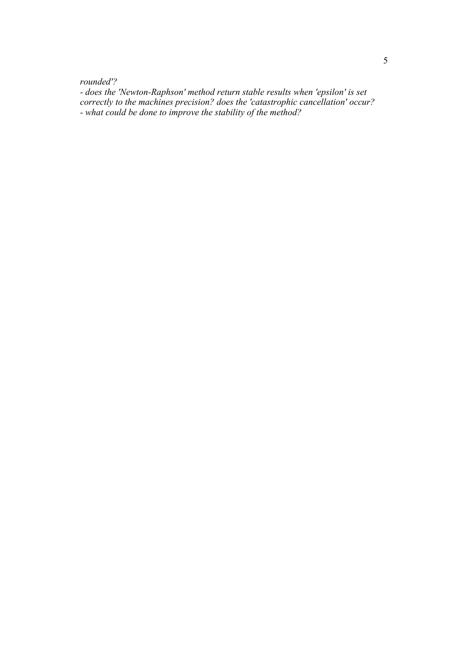*rounded'?*

*- does the 'Newton-Raphson' method return stable results when 'epsilon' is set correctly to the machines precision? does the 'catastrophic cancellation' occur?*

*- what could be done to improve the stability of the method?*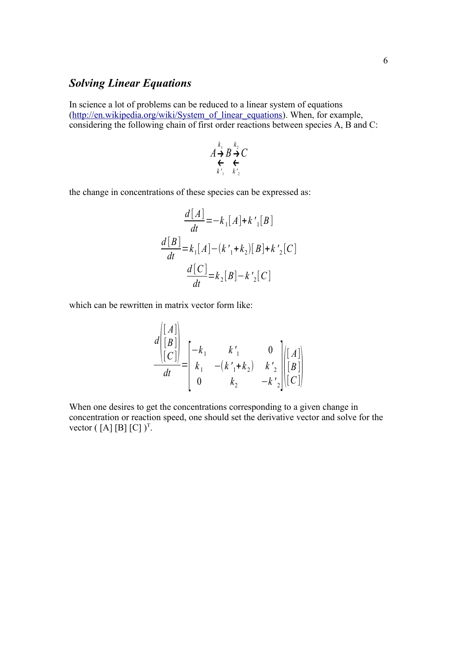## *Solving Linear Equations*

In science a lot of problems can be reduced to a linear system of equations [\(http://en.wikipedia.org/wiki/System\\_of\\_linear\\_equations\)](http://en.wikipedia.org/wiki/System_of_linear_equations). When, for example, considering the following chain of first order reactions between species A, B and C:

$$
A \underset{k_1}{\overset{k_1}{\to}} B \underset{k_2}{\overset{k_2}{\to}} C
$$

the change in concentrations of these species can be expressed as:

$$
\frac{d[A]}{dt} = -k_1[A] + k'_1[B]
$$
  

$$
\frac{d[B]}{dt} = k_1[A] - (k'_1 + k_2)[B] + k'_2[C]
$$
  

$$
\frac{d[C]}{dt} = k_2[B] - k'_2[C]
$$

which can be rewritten in matrix vector form like:

$$
\frac{d\begin{bmatrix} [A] \\ [B] \\ [C] \end{bmatrix}}{dt} = \begin{bmatrix} -k_1 & k'_1 & 0 \\ k_1 & -(k'_1 + k_2) & k'_2 \\ 0 & k_2 & -k'_2 \end{bmatrix} \begin{bmatrix} [A] \\ [B] \\ [C] \end{bmatrix}
$$

When one desires to get the concentrations corresponding to a given change in concentration or reaction speed, one should set the derivative vector and solve for the vector  $([A] [B] [C])^T$ .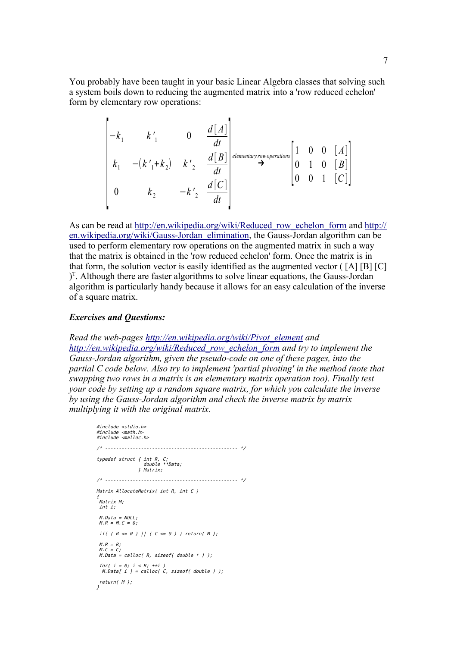You probably have been taught in your basic Linear Algebra classes that solving such a system boils down to reducing the augmented matrix into a 'row reduced echelon' form by elementary row operations:

$$
\begin{bmatrix}\n-k_1 & k'_1 & 0 & \frac{d[A]}{dt} \\
k_1 & -(k'_1 + k_2) & k'_2 & \frac{d[B]}{dt} \\
0 & k_2 & -k'_2 & \frac{d[C]}{dt}\n\end{bmatrix}\n\stackrel{\text{elementary row operations}}{\rightarrow}\n\begin{bmatrix}\n1 & 0 & 0 & [A] \\
0 & 1 & 0 & [B] \\
0 & 0 & 1 & [C]\n\end{bmatrix}
$$

As can be read at [http://en.wikipedia.org/wiki/Reduced\\_row\\_echelon\\_form](http://en.wikipedia.org/wiki/Reduced_row_echelon_form) and [http://](http://en.wikipedia.org/wiki/Gauss-Jordan_elimination) [en.wikipedia.org/wiki/Gauss-Jordan\\_elimination,](http://en.wikipedia.org/wiki/Gauss-Jordan_elimination) the Gauss-Jordan algorithm can be used to perform elementary row operations on the augmented matrix in such a way that the matrix is obtained in the 'row reduced echelon' form. Once the matrix is in that form, the solution vector is easily identified as the augmented vector ( [A] [B] [C]  $J<sup>T</sup>$ . Although there are faster algorithms to solve linear equations, the Gauss-Jordan algorithm is particularly handy because it allows for an easy calculation of the inverse of a square matrix.

#### *Exercises and Questions:*

*Read the web-pages [http://en.wikipedia.org/wiki/Pivot\\_element](http://en.wikipedia.org/wiki/Pivot_element) and [http://en.wikipedia.org/wiki/Reduced\\_row\\_echelon\\_form](http://en.wikipedia.org/wiki/Reduced_row_echelon_form) and try to implement the Gauss-Jordan algorithm, given the pseudo-code on one of these pages, into the partial C code below. Also try to implement 'partial pivoting' in the method (note that swapping two rows in a matrix is an elementary matrix operation too). Finally test your code by setting up a random square matrix, for which you calculate the inverse by using the Gauss-Jordan algorithm and check the inverse matrix by matrix multiplying it with the original matrix.*

```
#include <stdio.h>
#include 
#include <malloc.h>
/* ------------------------------------------------ */
typedef struct { int R, C;
 double **Data;
 } Matrix;
/* ------------------------------------------------ */
Matrix AllocateMatrix( int R, int C )
{
 Matrix M;
 int i;
M.Data = NULL;M.R = M.C = 0;
if( ( R \le \theta ) || ( C \le \theta ) ) return( M );
M.R = R;
 M.C = C;M.Data = calloc( R, sizeof( double * ) );for( i = 0; i < R; +i)
 M. Data[ i ] = calloc( C, sizeof( double ) );
 return( M );
}
```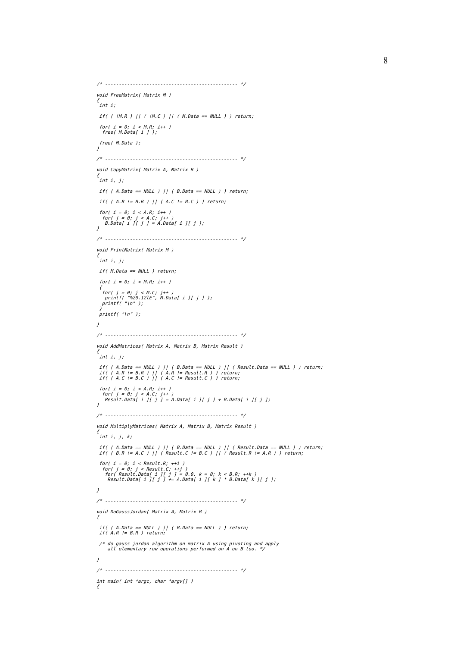```
/* ------------------------------------------------ */
void FreeMatrix( Matrix M )
{
 int i;
 if( ( !M.R ) || ( !M.C ) || ( M.Data == NULL ) ) return;
 for( i = 0; i < M.R; i++ )
 free( M.Data[ i ] );
  free( M.Data );
}
/* ------------------------------------------------ */
void CopyMatrix( Matrix A, Matrix B )
{
 int i, j;
if( ( A.Data == NULL ) || ( B.Data == NULL ) ) return;
if( ( A.R != B.R ) || ( A.C != B.C ) ) return;
 for( i = 0; i < A.R; i++ )
 for( j = 0; j < A.C; j++ )
 B.Data[ i ][ j ] = A.Data[ i ][ j ];
\mathbf{1}/* ------------------------------------------------ */
void PrintMatrix( Matrix M )
{
 int i, j;
  if( M.Data == NULL ) return;
 for( i = 0; i < M.R; i++ )
 {
 for( j = 0; j < M.C; j++ )
 printf( "%20.12lE", M.Data[ i ][ j ] );
 printf( "\n" );
 }
 printf( "\n" );
}
/* ------------------------------------------------ */
void AddMatrices( Matrix A, Matrix B, Matrix Result )
{
 int i, j;
 if( ( A.Data == NULL ) || ( B.Data == NULL ) || ( Result.Data == NULL ) ) return;
 if( ( A.R != B.R ) || ( A.R != Result.R ) ) return;
 if( ( A.C != B.C ) || ( A.C != Result.C ) ) return;
for( i = 0; i < A.R; i++ )<br>for( j = 0; j < A.C; j++ )<br>Result.Data[ i ][ j ] = A.Data[ i ][ j ] + B.Data[ i ][ j ];
}
/* ------------------------------------------------ */
void MultiplyMatrices( Matrix A, Matrix B, Matrix Result )
{
 int i, j, k;
 if( ( A.Data == NULL ) || ( B.Data == NULL ) || ( Result.Data == NULL ) ) return;
 if( ( B.R != A.C ) || ( Result.C != B.C ) || ( Result.R != A.R ) ) return;
 for( i = 0; i < Result.R; +i )
 for( j = 0; j < Result.C; ++j )
 for( Result.Data[ i ][ j ] = 0.0, k = 0; k < B.R; ++k )
 Result.Data[ i ][ j ] += A.Data[ i ][ k ] * B.Data[ k ][ j ];
}
/* ------------------------------------------------ */
void DoGaussJordan( Matrix A, Matrix B )
{
 if( ( A.Data == NULL ) || ( B.Data == NULL ) ) return;
 if( A.R != B.R ) return;
 /* do gauss jordan algorithm on matrix A using pivoting and apply
 all elementary row operations performed on A on B too. */
} 
/* ------------------------------------------------ */
int main( int *argc, char *argv[] )
{
```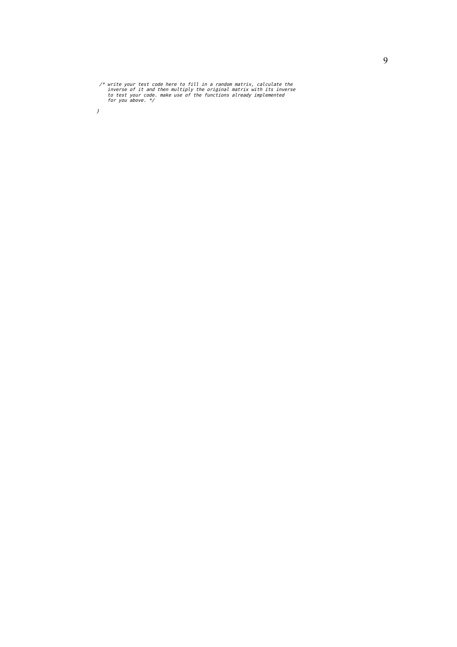/\* write your test code here to fill in a random matrix, calculate the inverse of it and then multiply the original matrix with its inverse to test your code. make use of the functions already implemented for you above. \*

 $\ensuremath{\mathfrak{z}}$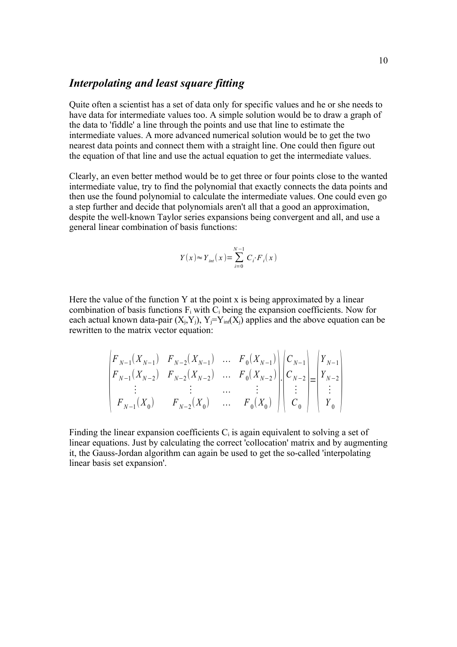# *Interpolating and least square fitting*

Quite often a scientist has a set of data only for specific values and he or she needs to have data for intermediate values too. A simple solution would be to draw a graph of the data to 'fiddle' a line through the points and use that line to estimate the intermediate values. A more advanced numerical solution would be to get the two nearest data points and connect them with a straight line. One could then figure out the equation of that line and use the actual equation to get the intermediate values.

Clearly, an even better method would be to get three or four points close to the wanted intermediate value, try to find the polynomial that exactly connects the data points and then use the found polynomial to calculate the intermediate values. One could even go a step further and decide that polynomials aren't all that a good an approximation, despite the well-known Taylor series expansions being convergent and all, and use a general linear combination of basis functions:

$$
Y(x) \approx Y_{int}(x) = \sum_{i=0}^{N-1} C_i \cdot F_i(x)
$$

Here the value of the function Y at the point x is being approximated by a linear combination of basis functions  $F_i$  with  $C_i$  being the expansion coefficients. Now for each actual known data-pair  $(X_i, Y_i)$ ,  $Y_i = Y_{int}(X_i)$  applies and the above equation can be rewritten to the matrix vector equation:

$$
\begin{pmatrix}\nF_{N-1}(X_{N-1}) & F_{N-2}(X_{N-1}) & \dots & F_0(X_{N-1}) \\
F_{N-1}(X_{N-2}) & F_{N-2}(X_{N-2}) & \dots & F_0(X_{N-2}) \\
\vdots & \vdots & \dots & \vdots \\
F_{N-1}(X_0) & F_{N-2}(X_0) & \dots & F_0(X_0)\n\end{pmatrix}\n\begin{pmatrix}\nC_{N-1} \\
C_{N-2} \\
\vdots \\
C_0\n\end{pmatrix}\n=\n\begin{pmatrix}\nY_{N-1} \\
Y_{N-2} \\
\vdots \\
Y_0\n\end{pmatrix}
$$

Finding the linear expansion coefficients  $C_i$  is again equivalent to solving a set of linear equations. Just by calculating the correct 'collocation' matrix and by augmenting it, the Gauss-Jordan algorithm can again be used to get the so-called 'interpolating linear basis set expansion'.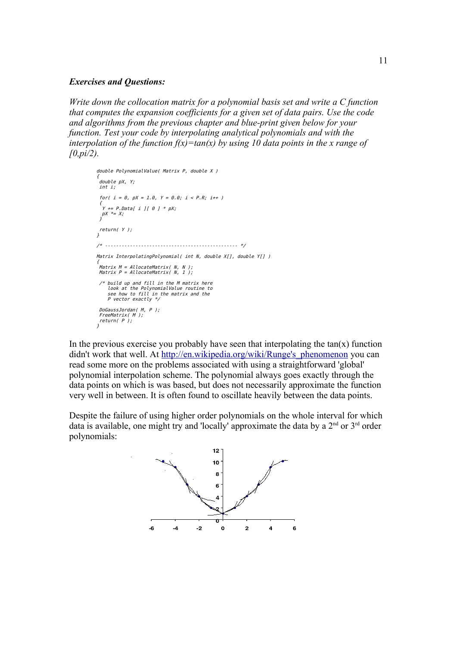#### *Exercises and Questions:*

*Write down the collocation matrix for a polynomial basis set and write a C function that computes the expansion coefficients for a given set of data pairs. Use the code and algorithms from the previous chapter and blue-print given below for your function. Test your code by interpolating analytical polynomials and with the interpolation of the function*  $f(x) = tan(x)$  *by using 10 data points in the x range of [0,pi/2).*

```
double PolynomialValue( Matrix P, double X )
{
 double pX, Y;
  int i;
 for( i = 0, pX = 1.0, Y = 0.0; i < P.R; i++) {
  Y \leftarrow P.Datal \text{ if } II \text{ } \theta \text{ } J * pX;pX \equiv X; }
  return( Y );
}
/* ------------------------------------------------ */
Matrix InterpolatingPolynomial( int N, double X[], double Y[] )
{
 Matrix M = AllocateMatrix( N, N );
 Matrix P = AllocateMatrix( N, 1 );
  /* build up and fill in the M matrix here
look at the PolynomialValue routine to<br>see how to fill in the matrix and the<br>P vector exactly */
  DoGaussJordan( M, P );
 FreeMatrix( M );
 return( P );
}
```
In the previous exercise you probably have seen that interpolating the  $tan(x)$  function didn't work that well. At http://en.wikipedia.org/wiki/Runge's phenomenon you can read some more on the problems associated with using a straightforward 'global' polynomial interpolation scheme. The polynomial always goes exactly through the data points on which is was based, but does not necessarily approximate the function very well in between. It is often found to oscillate heavily between the data points.

Despite the failure of using higher order polynomials on the whole interval for which data is available, one might try and 'locally' approximate the data by a  $2<sup>nd</sup>$  or  $3<sup>rd</sup>$  order polynomials:

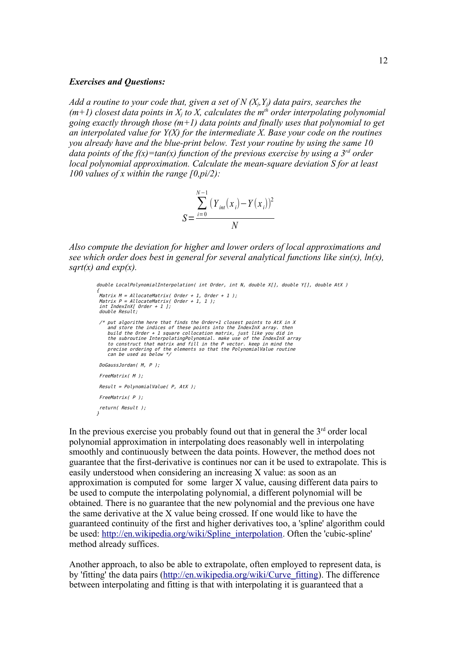#### *Exercises and Questions:*

*Add a routine to your code that, given a set of N (Xj,Yj) data pairs, searches the*   $(m+1)$  closest data points in  $X_i$  to  $X_i$ , calculates the m<sup>th</sup> order interpolating polynomial *going exactly through those (m+1) data points and finally uses that polynomial to get an interpolated value for Y(X) for the intermediate X. Base your code on the routines you already have and the blue-print below. Test your routine by using the same 10 data points of the f(x)=tan(x) function of the previous exercise by using a 3<sup><i>rd*</sup> order *local polynomial approximation. Calculate the mean-square deviation S for at least 100 values of x within the range [0,pi/2):*

$$
S = \frac{\sum_{i=0}^{N-1} (Y_{int}(x_i) - Y(x_i))^2}{N}
$$

*Also compute the deviation for higher and lower orders of local approximations and see which order does best in general for several analytical functions like sin(x), ln(x), sqrt(x) and exp(x).*

```
double LocalPolynomialInterpolation( int Order, int N, double X[], double Y[], double AtX )
{
 Matrix M = Allocatenatrix( Order + 1, Order + 1); Matrix P = AllocateMatrix( Order + 1, 1 );
 int IndexInX[ Order + 1 ];
  double Result;
A put algorithm here that finds the Order+1 closest points to AtX in X<br>and store the indices of these points into the IndexInX array. then<br>build the Order + 1 square collocation matrix, just like you did in<br>the subroutin
      to construct that matrix and fill in the P vector. keep in mind the
 precise ordering of the elements so that the PolynomialValue routine
 can be used as below */
  DoGaussJordan( M, P );
  FreeMatrix( M );
 Result = PolynomialValue( P, AtX );
  FreeMatrix( P );
 return( Result );
}
```
In the previous exercise you probably found out that in general the  $3<sup>rd</sup>$  order local polynomial approximation in interpolating does reasonably well in interpolating smoothly and continuously between the data points. However, the method does not guarantee that the first-derivative is continues nor can it be used to extrapolate. This is easily understood when considering an increasing X value: as soon as an approximation is computed for some larger X value, causing different data pairs to be used to compute the interpolating polynomial, a different polynomial will be obtained. There is no guarantee that the new polynomial and the previous one have the same derivative at the X value being crossed. If one would like to have the guaranteed continuity of the first and higher derivatives too, a 'spline' algorithm could be used: [http://en.wikipedia.org/wiki/Spline\\_interpolation.](http://en.wikipedia.org/wiki/Spline_interpolation) Often the 'cubic-spline' method already suffices.

Another approach, to also be able to extrapolate, often employed to represent data, is by 'fitting' the data pairs [\(http://en.wikipedia.org/wiki/Curve\\_fitting\)](http://en.wikipedia.org/wiki/Curve_fitting). The difference between interpolating and fitting is that with interpolating it is guaranteed that a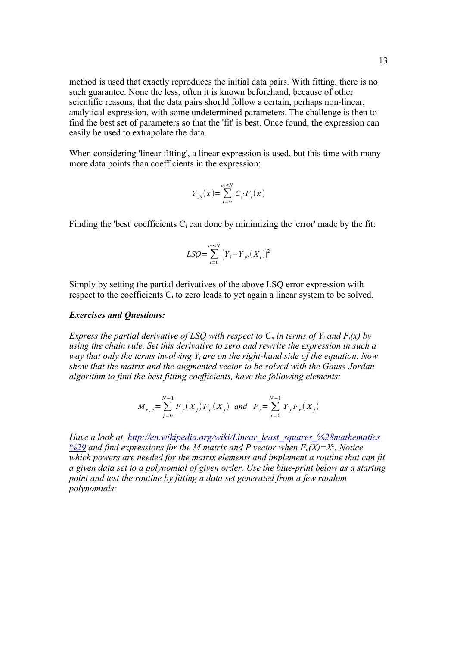method is used that exactly reproduces the initial data pairs. With fitting, there is no such guarantee. None the less, often it is known beforehand, because of other scientific reasons, that the data pairs should follow a certain, perhaps non-linear, analytical expression, with some undetermined parameters. The challenge is then to find the best set of parameters so that the 'fit' is best. Once found, the expression can easily be used to extrapolate the data.

When considering 'linear fitting', a linear expression is used, but this time with many more data points than coefficients in the expression:

$$
Y_{\text{fit}}(x) = \sum_{i=0}^{m \leq N} C_i \cdot F_i(x)
$$

Finding the 'best' coefficients  $C_i$  can done by minimizing the 'error' made by the fit:

$$
LSQ = \sum_{i=0}^{m \le N} (Y_i - Y_{\text{fit}}(X_i))^2
$$

Simply by setting the partial derivatives of the above LSQ error expression with respect to the coefficients  $C_i$  to zero leads to yet again a linear system to be solved.

#### *Exercises and Questions:*

*Express the partial derivative of LSQ with respect to*  $C_n$  *in terms of*  $Y_i$  *and*  $F_i(x)$  *by using the chain rule. Set this derivative to zero and rewrite the expression in such a way that only the terms involving*  $Y_i$  *are on the right-hand side of the equation. Now show that the matrix and the augmented vector to be solved with the Gauss-Jordan algorithm to find the best fitting coefficients, have the following elements:* 

$$
M_{r,c} = \sum_{j=0}^{N-1} F_r(X_j) F_c(X_j) \text{ and } P_r = \sum_{j=0}^{N-1} Y_j F_r(X_j)
$$

*Have a look at [http://en.wikipedia.org/wiki/Linear\\_least\\_squares\\_%28mathematics](http://en.wikipedia.org/wiki/Linear_least_squares_(mathematics))*  $\frac{9629}{2}$  and find expressions for the M matrix and P vector when  $F_n(X)=X^n$ . Notice *which powers are needed for the matrix elements and implement a routine that can fit a given data set to a polynomial of given order. Use the blue-print below as a starting point and test the routine by fitting a data set generated from a few random polynomials:*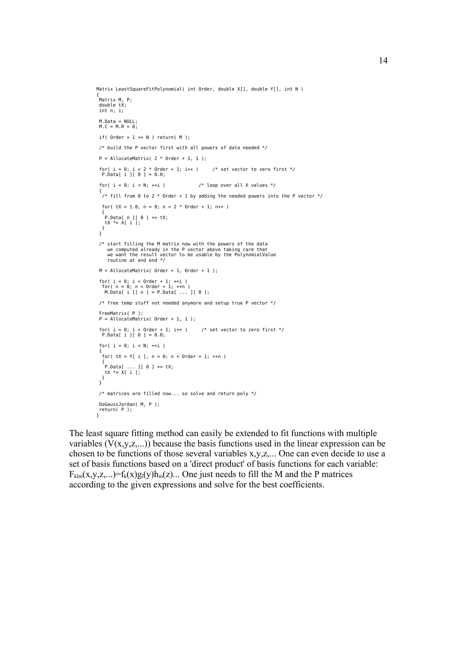```
Matrix LeastSquareFitPolynomial( int Order, double X[], double Y[], int N )
{
 Matrix M, P;
 double tX;
  int n, i;
  M.Data = NULL;
 M.C = M.R = 0;if( Order + 1 \geq N ) return( M );
  /* build the P vector first with all powers of data needed */
 P = AllocateMatrix( 2 * Order + 1, 1 ):
 for( i = 0; i < 2 * Order + 1; i++ ) /* set vector to zero first */
 P.Data[ i ][ 0 ] = 0.0;
 for( i = 0; i < N; ++i ) / loop over all X values */ {
  \dot{y} fill from 0 to 2 * Order + 1 by adding the needed powers into the P vector */
  for( tX = 1.0, n = 0; n < 2 * Order + 1; n++ )
 {
   \left[ P.Data[ n ] [ 0 ] \right] += tX;
    tX *= X[ i ];
 }
 }
 /* start filling the M matrix now with the powers of the data
 we computed already in the P vector above taking care that
 we want the result vector to be usable by the PolynomialValue
 routine at end end */
 M = AllocateMatrix( Order + 1, Order + 1);
 for( i = 0; i < Order + 1; ++i )
 for( n = 0; n < Order + 1; ++n )
 M.Data[ i ][ n ] = P.Data[ ... ][ 0 ];
  /* free temp stuff not needed anymore and setup true P vector */
  FreeMatrix( P );
 P = AlloctenAtrix( Order + 1, 1):
 for( i = 0; i < Order + 1; i++ ) /* set vector to zero first */
 P.Data[ i ][ 0 ] = 0.0;
 for( i = 0; i < N; ++i)
 {
  for( tX = Y[i], n = 0; n < 0rder + 1; ++n )
 {
 P.Data[ ... ][ 0 ] += tX;
   \mathsf{t} \mathsf{X} *= \mathsf{X}[ i ];
   }
  }
  /* matrices are filled now... so solve and return poly */
  DoGaussJordan( M, P );
 return( P );
}
```
The least square fitting method can easily be extended to fit functions with multiple variables  $(V(x,y,z,...))$  because the basis functions used in the linear expression can be chosen to be functions of those several variables x,y,z,... One can even decide to use a set of basis functions based on a 'direct product' of basis functions for each variable:  $F_{\text{klm}}(x,y,z,...)=f_{k}(x)g_{l}(y)h_{m}(z)...$  One just needs to fill the M and the P matrices according to the given expressions and solve for the best coefficients.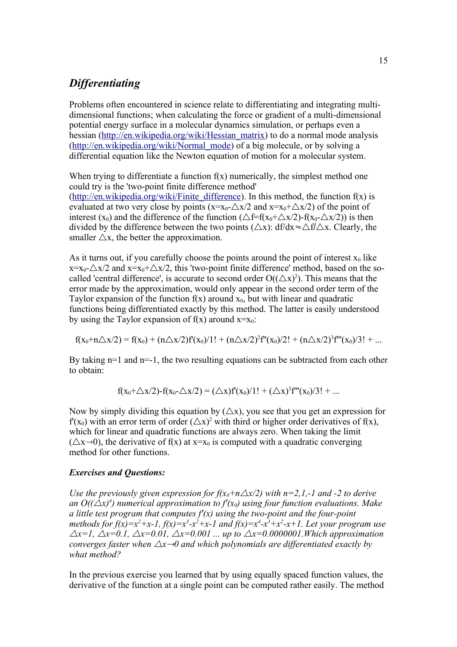### *Differentiating*

Problems often encountered in science relate to differentiating and integrating multidimensional functions; when calculating the force or gradient of a multi-dimensional potential energy surface in a molecular dynamics simulation, or perhaps even a hessian [\(http://en.wikipedia.org/wiki/Hessian\\_matrix\)](http://en.wikipedia.org/wiki/Hessian_matrix) to do a normal mode analysis [\(http://en.wikipedia.org/wiki/Normal\\_mode\)](http://en.wikipedia.org/wiki/Normal_mode) of a big molecule, or by solving a differential equation like the Newton equation of motion for a molecular system.

When trying to differentiate a function  $f(x)$  numerically, the simplest method one could try is the 'two-point finite difference method' [\(http://en.wikipedia.org/wiki/Finite\\_difference\)](http://en.wikipedia.org/wiki/Finite_difference). In this method, the function  $f(x)$  is evaluated at two very close by points  $(x=x_0+\Delta x/2$  and  $x=x_0+\Delta x/2$  of the point of interest (x<sub>0</sub>) and the difference of the function ( $\triangle f = f(x_0 + \triangle x/2) - f(x_0 - \triangle x/2)$ ) is then divided by the difference between the two points ( $\triangle x$ ): df/dx≈ $\triangle f/\triangle x$ . Clearly, the smaller  $\triangle x$ , the better the approximation.

As it turns out, if you carefully choose the points around the point of interest  $x_0$  like  $x=x_0-\Delta x/2$  and  $x=x_0+\Delta x/2$ , this 'two-point finite difference' method, based on the socalled 'central difference', is accurate to second order  $O((\triangle x)^2)$ . This means that the error made by the approximation, would only appear in the second order term of the Taylor expansion of the function  $f(x)$  around  $x_0$ , but with linear and quadratic functions being differentiated exactly by this method. The latter is easily understood by using the Taylor expansion of  $f(x)$  around  $x=x_0$ :

$$
f(x_0+n\triangle x/2) = f(x_0) + (n\triangle x/2)f'(x_0)/1! + (n\triangle x/2)^2f''(x_0)/2! + (n\triangle x/2)^3f'''(x_0)/3! + ...
$$

By taking  $n=1$  and  $n=-1$ , the two resulting equations can be subtracted from each other to obtain:

$$
f(x_0+\triangle x/2) - f(x_0-\triangle x/2) = (\triangle x) f'(x_0)/1! + (\triangle x)^3 f''(x_0)/3! + ...
$$

Now by simply dividing this equation by  $(\Delta x)$ , you see that you get an expression for  $f'(x_0)$  with an error term of order  $(\triangle x)^2$  with third or higher order derivatives of f(x), which for linear and quadratic functions are always zero. When taking the limit  $(\triangle x \rightarrow 0)$ , the derivative of f(x) at  $x=x_0$  is computed with a quadratic converging method for other functions.

#### *Exercises and Questions:*

*Use the previously given expression for*  $f(x_0 + n\Delta x/2)$  *with*  $n=2,1,-1$  *and -2 to derive* an  $O((\triangle x)^4)$  numerical approximation to  $f'(x_0)$  using four function evaluations. Make *a little test program that computes*  $f'(x)$  *using the two-point and the four-point methods for f(x)*= $x^2+x-1$ , *f(x)*= $x^3-x^2+x-1$  and *f(x)*= $x^4-x^3+x^2-x+1$ . Let your program use  $\Delta x=1$ ,  $\Delta x=0.1$ ,  $\Delta x=0.01$ ,  $\Delta x=0.001$  ... up to  $\Delta x=0.0000001$ . Which approximation *converges faster when*  $\Delta x \rightarrow 0$  and which polynomials are differentiated exactly by *what method?*

In the previous exercise you learned that by using equally spaced function values, the derivative of the function at a single point can be computed rather easily. The method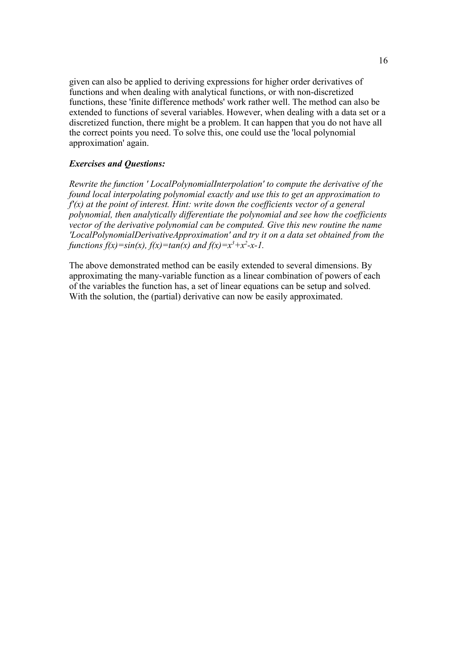given can also be applied to deriving expressions for higher order derivatives of functions and when dealing with analytical functions, or with non-discretized functions, these 'finite difference methods' work rather well. The method can also be extended to functions of several variables. However, when dealing with a data set or a discretized function, there might be a problem. It can happen that you do not have all the correct points you need. To solve this, one could use the 'local polynomial approximation' again.

#### *Exercises and Questions:*

*Rewrite the function ' LocalPolynomialInterpolation' to compute the derivative of the found local interpolating polynomial exactly and use this to get an approximation to f'(x) at the point of interest. Hint: write down the coefficients vector of a general polynomial, then analytically differentiate the polynomial and see how the coefficients vector of the derivative polynomial can be computed. Give this new routine the name 'LocalPolynomialDerivativeApproximation' and try it on a data set obtained from the functions f(x)=sin(x), f(x)=tan(x) and f(x)=x<sup>3</sup>+x<sup>2</sup>-x-1.* 

The above demonstrated method can be easily extended to several dimensions. By approximating the many-variable function as a linear combination of powers of each of the variables the function has, a set of linear equations can be setup and solved. With the solution, the (partial) derivative can now be easily approximated.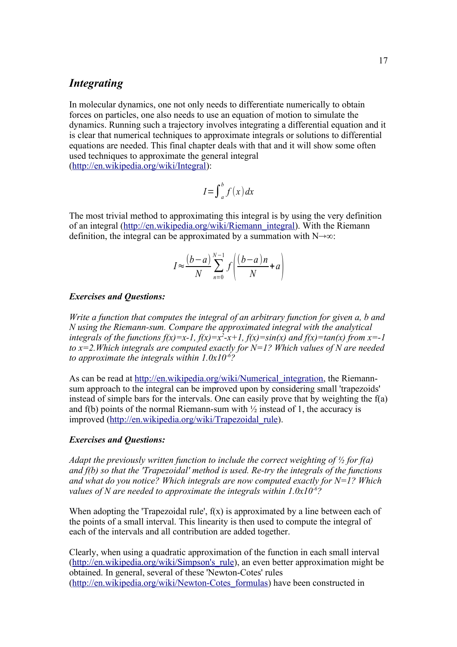## *Integrating*

In molecular dynamics, one not only needs to differentiate numerically to obtain forces on particles, one also needs to use an equation of motion to simulate the dynamics. Running such a trajectory involves integrating a differential equation and it is clear that numerical techniques to approximate integrals or solutions to differential equations are needed. This final chapter deals with that and it will show some often used techniques to approximate the general integral [\(http://en.wikipedia.org/wiki/Integral\)](http://en.wikipedia.org/wiki/Integral):

$$
I = \int_{a}^{b} f(x) \, dx
$$

The most trivial method to approximating this integral is by using the very definition of an integral [\(http://en.wikipedia.org/wiki/Riemann\\_integral\)](http://en.wikipedia.org/wiki/Riemann_integral). With the Riemann definition, the integral can be approximated by a summation with  $N\rightarrow\infty$ :

$$
I \approx \frac{(b-a)}{N} \sum_{n=0}^{N-1} f\left(\frac{(b-a)n}{N} + a\right)
$$

#### *Exercises and Questions:*

*Write a function that computes the integral of an arbitrary function for given a, b and N using the Riemann-sum. Compare the approximated integral with the analytical integrals of the functions f(x)*=x-1,  $f(x)$ =x<sup>2</sup>-x+1,  $f(x)$ =sin(x) and  $f(x)$ =tan(x) from x=-1 *to x=2.Which integrals are computed exactly for N=1? Which values of N are needed to approximate the integrals within 1.0x10-6?*

As can be read at http://en.wikipedia.org/wiki/Numerical integration, the Riemannsum approach to the integral can be improved upon by considering small 'trapezoids' instead of simple bars for the intervals. One can easily prove that by weighting the f(a) and f(b) points of the normal Riemann-sum with  $\frac{1}{2}$  instead of 1, the accuracy is improved [\(http://en.wikipedia.org/wiki/Trapezoidal\\_rule\)](http://en.wikipedia.org/wiki/Trapezoidal_rule).

#### *Exercises and Questions:*

*Adapt the previously written function to include the correct weighting of ½ for f(a) and f(b) so that the 'Trapezoidal' method is used. Re-try the integrals of the functions and what do you notice? Which integrals are now computed exactly for N=1? Which values of N are needed to approximate the integrals within 1.0x10-6?*

When adopting the 'Trapezoidal rule',  $f(x)$  is approximated by a line between each of the points of a small interval. This linearity is then used to compute the integral of each of the intervals and all contribution are added together.

Clearly, when using a quadratic approximation of the function in each small interval [\(http://en.wikipedia.org/wiki/Simpson's\\_rule\)](http://en.wikipedia.org/wiki/Simpson), an even better approximation might be obtained. In general, several of these 'Newton-Cotes' rules [\(http://en.wikipedia.org/wiki/Newton-Cotes\\_formulas\)](http://en.wikipedia.org/wiki/Newton-Cotes_formulas) have been constructed in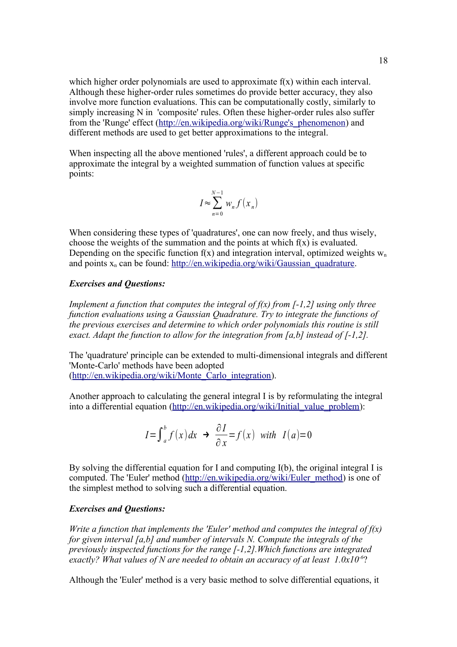which higher order polynomials are used to approximate  $f(x)$  within each interval. Although these higher-order rules sometimes do provide better accuracy, they also involve more function evaluations. This can be computationally costly, similarly to simply increasing N in 'composite' rules. Often these higher-order rules also suffer from the 'Runge' effect [\(http://en.wikipedia.org/wiki/Runge's\\_phenomenon\)](http://en.wikipedia.org/wiki/Runge) and different methods are used to get better approximations to the integral.

When inspecting all the above mentioned 'rules', a different approach could be to approximate the integral by a weighted summation of function values at specific points:

$$
I \approx \sum_{n=0}^{N-1} w_n f(x_n)
$$

When considering these types of 'quadratures', one can now freely, and thus wisely, choose the weights of the summation and the points at which  $f(x)$  is evaluated. Depending on the specific function  $f(x)$  and integration interval, optimized weights  $w_n$ and points  $x_n$  can be found: [http://en.wikipedia.org/wiki/Gaussian\\_quadrature.](http://en.wikipedia.org/wiki/Gaussian_quadrature)

### *Exercises and Questions:*

*Implement a function that computes the integral of f(x) from [-1,2] using only three function evaluations using a Gaussian Quadrature. Try to integrate the functions of the previous exercises and determine to which order polynomials this routine is still exact. Adapt the function to allow for the integration from [a,b] instead of [-1,2].*

The 'quadrature' principle can be extended to multi-dimensional integrals and different 'Monte-Carlo' methods have been adopted [\(http://en.wikipedia.org/wiki/Monte\\_Carlo\\_integration\)](http://en.wikipedia.org/wiki/Monte_Carlo_integration).

Another approach to calculating the general integral I is by reformulating the integral into a differential equation [\(http://en.wikipedia.org/wiki/Initial\\_value\\_problem\)](http://en.wikipedia.org/wiki/Initial_value_problem):

$$
I = \int_{a}^{b} f(x) dx \rightarrow \frac{\partial I}{\partial x} = f(x) \text{ with } I(a) = 0
$$

By solving the differential equation for I and computing I(b), the original integral I is computed. The 'Euler' method [\(http://en.wikipedia.org/wiki/Euler\\_method\)](http://en.wikipedia.org/wiki/Euler_method) is one of the simplest method to solving such a differential equation.

#### *Exercises and Questions:*

*Write a function that implements the 'Euler' method and computes the integral of f(x) for given interval [a,b] and number of intervals N. Compute the integrals of the previously inspected functions for the range [-1,2].Which functions are integrated exactly? What values of N are needed to obtain an accuracy of at least 1.0x10-6*?

Although the 'Euler' method is a very basic method to solve differential equations, it